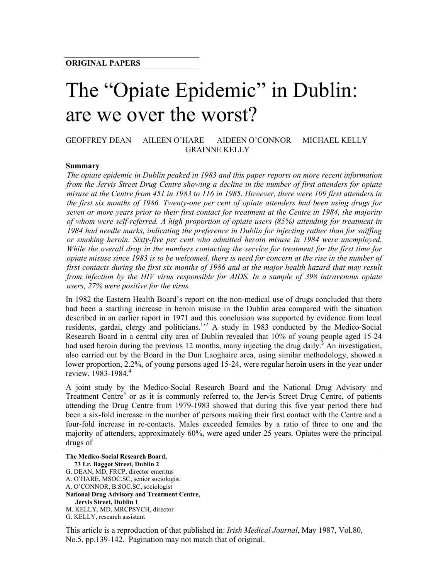# The "Opiate Epidemic" in Dublin: are we over the worst?

## GEOFFREY DEAN AILEEN O'HARE AIDEEN O'CONNOR MICHAEL KELLY GRAINNE KELLY

#### **Summary**

*The opiate epidemic in Dublin peaked in 1983 and this paper reports on more recent information from the Jervis Street Drug Centre showing a decline in the number of first attenders for opiate misuse at the Centre from 451 in 1983 to 116 in 1985. However, there were 109 first attenders in the first six months of 1986. Twenty-one per cent of opiate attenders had been using drugs for seven or more years prior to their first contact for treatment at the Centre in 1984, the majority of whom were self-referred. A high proportion of opiate users (85%) attending for treatment in 1984 had needle marks, indicating the preference in Dublin for injecting rather than for sniffing or smoking heroin. Sixty-five per cent who admitted heroin misuse in 1984 were unemployed. While the overall drop in the numbers contacting the service for treatment for the first time for opiate misuse since 1983 is to be welcomed, there is need for concern at the rise in the number of first contacts during the first six months of 1986 and at the major health hazard that may result from infection by the HIV virus responsible for AIDS. In a sample of 398 intravenous opiate users, 27% were positive for the virus.* 

In 1982 the Eastern Health Board's report on the non-medical use of drugs concluded that there had been a startling increase in heroin misuse in the Dublin area compared with the situation described in an earlier report in 1971 and this conclusion was supported by evidence from local residents, gardai, clergy and politicians.<sup>1,2</sup> A study in 1983 conducted by the Medico-Social Research Board in a central city area of Dublin revealed that 10% of young people aged 15-24 had used heroin during the previous 12 months, many injecting the drug daily.<sup>3</sup> An investigation, also carried out by the Board in the Dun Laoghaire area, using similar methodology, showed a lower proportion, 2.2%, of young persons aged 15-24, were regular heroin users in the year under review, 1983-1984.<sup>4</sup>

A joint study by the Medico-Social Research Board and the National Drug Advisory and Treatment Centre<sup>5</sup> or as it is commonly referred to, the Jervis Street Drug Centre, of patients attending the Drug Centre from 1979-1983 showed that during this five year period there had been a six-fold increase in the number of persons making their first contact with the Centre and a four-fold increase in re-contacts. Males exceeded females by a ratio of three to one and the majority of attenders, approximately 60%, were aged under 25 years. Opiates were the principal drugs of

**The Medico-Social Research Board, 73 Lr. Baggot Street, Dublin 2** G. DEAN, MD, FRCP, director emeritus A. O'HARE, MSOC.SC, senior sociologist A. O'CONNOR, B.SOC.SC, sociologist **National Drug Advisory and Treatment Centre, Jervis Street, Dublin 1** M. KELLY, MD, MRCPSYCH, director G. KELLY, research assistant

This article is a reproduction of that published in: *Irish Medical Journal*, May 1987, Vol.80, No.5, pp.139-142. Pagination may not match that of original.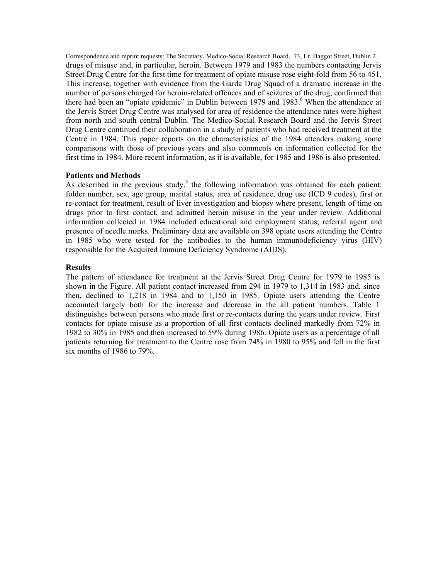Correspondence and reprint requests: The Secretary, Medico-Social Research Board, 73, Lr. Baggot Street, Dublin 2 drugs of misuse and, in particular, heroin. Between 1979 and 1983 the numbers contacting Jervis Street Drug Centre for the first time for treatment of opiate misuse rose eight-fold from 56 to 451. This increase, together with evidence from the Garda Drug Squad of a dramatic increase in the number of persons charged for heroin-related offences and of seizures of the drug, confirmed that there had been an "opiate epidemic" in Dublin between 1979 and 1983.<sup>6</sup> When the attendance at the Jervis Street Drug Centre was analysed for area of residence the attendance rates were highest from north and south central Dublin. The Medico-Social Research Board and the Jervis Street Drug Centre continued their collaboration in a study of patients who had received treatment at the Centre in 1984. This paper reports on the characteristics of the 1984 attenders making some comparisons with those of previous years and also comments on information collected for the first time in 1984. More recent information, as it is available, for 1985 and 1986 is also presented.

### **Patients and Methods**

As described in the previous study,<sup>5</sup> the following information was obtained for each patient: folder number, sex, age group, marital status, area of residence, drug use (ICD 9 codes), first or re-contact for treatment, result of liver investigation and biopsy where present, length of time on drugs prior to first contact, and admitted heroin misuse in the year under review. Additional information collected in 1984 included educational and employment status, referral agent and presence of needle marks. Preliminary data are available on 398 opiate users attending the Centre in 1985 who were tested for the antibodies to the human immunodeficiency virus (HIV) responsible for the Acquired Immune Deficiency Syndrome (AIDS).

### **Results**

The pattern of attendance for treatment at the Jervis Street Drug Centre for 1979 to 1985 is shown in the Figure. All patient contact increased from 294 in 1979 to 1,314 in 1983 and, since then, declined to 1,218 in 1984 and to 1,150 in 1985. Opiate users attending the Centre accounted largely both for the increase and decrease in the all patient numbers. Table 1 distinguishes between persons who made first or re-contacts during the years under review. First contacts for opiate misuse as a proportion of all first contacts declined markedly from 72% in 1982 to 30% in 1985 and then increased to 59% during 1986. Opiate users as a percentage of all patients returning for treatment to the Centre rose from 74% in 1980 to 95% and fell in the first six months of 1986 to 79%.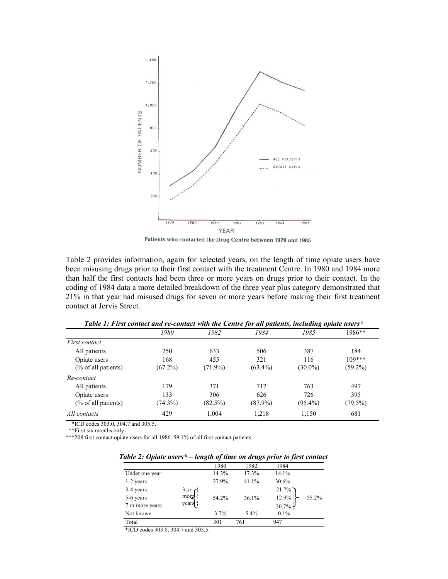

Patients who contacted the Drug Centre between 1979 and 1985

Table 2 provides information, again for selected years, on the length of time opiate users have been misusing drugs prior to their first contact with the treatment Centre. In 1980 and 1984 more than half the first contacts had been three or more years on drugs prior to their contact. In the coding of 1984 data a more detailed breakdown of the three year plus category demonstrated that 21% in that year had misused drugs for seven or more years before making their first treatment contact at Jervis Street.

| Tuble 1, First contact and re-contact with the Centre for all patients, including optale users |            |            |            |            |  |  |  |
|------------------------------------------------------------------------------------------------|------------|------------|------------|------------|--|--|--|
| 1980                                                                                           | 1982       | 1984       | 1985       | 1986**     |  |  |  |
|                                                                                                |            |            |            |            |  |  |  |
| 250                                                                                            | 633        | 506        | 387        | 184        |  |  |  |
| 168                                                                                            | 455        | 321        | 116        | $109***$   |  |  |  |
| $(67.2\%)$                                                                                     | $(71.9\%)$ | $(63.4\%)$ | $(30.0\%)$ | $(59.2\%)$ |  |  |  |
|                                                                                                |            |            |            |            |  |  |  |
| 179                                                                                            | 371        | 712        | 763        | 497        |  |  |  |
| 133                                                                                            | 306        | 626        | 726        | 395        |  |  |  |
| $(74.3\%)$                                                                                     | $(82.5\%)$ | $(87.9\%)$ | $(95.4\%)$ | $(79.5\%)$ |  |  |  |
| 429                                                                                            | 1.004      | 1,218      | 1,150      | 681        |  |  |  |
|                                                                                                |            |            |            |            |  |  |  |

*Table 1: First contact and re-contact with the Centre for all patients, including opiate users\**

\*ICD codes 303.0, 304.7 and 305.5.

\*\*First six months only.

\*\*\*208 first contact opiate users for all 1986. 59.1% of all first contact patients.

| able 2: Optate users <sup>*</sup> – length of time on drugs prior to first contact |                 |       |       |                       |       |
|------------------------------------------------------------------------------------|-----------------|-------|-------|-----------------------|-------|
|                                                                                    |                 | 1980  | 1982  | 1984                  |       |
| Under one year                                                                     |                 | 14.3% | 17.3% | 14.1%                 |       |
| 1-2 years                                                                          |                 | 27.9% | 41.1% | 30.6%                 |       |
| 3-4 years                                                                          | 3 or $\epsilon$ |       |       | $21.7\%$              |       |
| 5-6 years                                                                          | more            | 54.2% | 36.1% | $12.9\%$              | 55.2% |
| 7 or more years                                                                    | years {         |       |       | $20.7\%$ <sup>2</sup> |       |
| Not known                                                                          |                 | 3.7%  | 5.4%  | 0.1%                  |       |
| Total                                                                              |                 | 301   | 761   | 947                   |       |

*Table 2: Opiate users\* – length of time on drugs prior to first contact*

\*ICD codes 303.0, 304.7 and 305.5.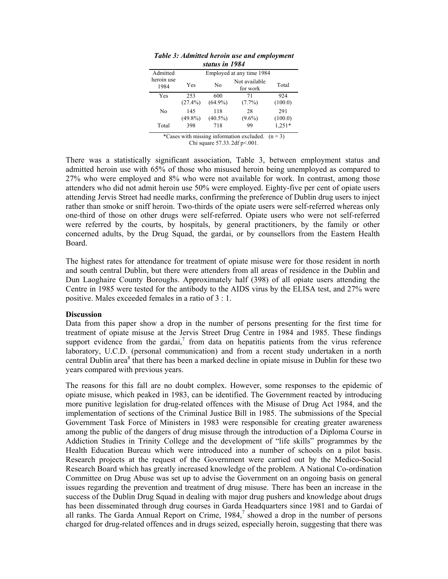| зшиз т 1707        |                           |                   |                           |                |  |  |  |
|--------------------|---------------------------|-------------------|---------------------------|----------------|--|--|--|
| Admitted           | Employed at any time 1984 |                   |                           |                |  |  |  |
| heroin use<br>1984 | Yes                       | No                | Not available<br>for work | Total          |  |  |  |
| Yes                | 253<br>$(27.4\%)$         | 600<br>$(64.9\%)$ | 71<br>$(7.7\%)$           | 924<br>(100.0) |  |  |  |
| No                 | 145<br>$(49.8\%)$         | 118<br>$(40.5\%)$ | 28<br>$(9.6\%)$           | 291<br>(100.0) |  |  |  |
| Total              | 398                       | 718               | 99                        | $1,251*$       |  |  |  |

*Table 3: Admitted heroin use and employment status in 1984*

\*Cases with missing information excluded.  $(n = 3)$ Chi square 57.33. 2df p<.001.

There was a statistically significant association, Table 3, between employment status and admitted heroin use with 65% of those who misused heroin being unemployed as compared to 27% who were employed and 8% who were not available for work. In contrast, among those attenders who did not admit heroin use 50% were employed. Eighty-five per cent of opiate users attending Jervis Street had needle marks, confirming the preference of Dublin drug users to inject rather than smoke or sniff heroin. Two-thirds of the opiate users were self-referred whereas only one-third of those on other drugs were self-referred. Opiate users who were not self-referred were referred by the courts, by hospitals, by general practitioners, by the family or other concerned adults, by the Drug Squad, the gardai, or by counsellors from the Eastern Health Board.

The highest rates for attendance for treatment of opiate misuse were for those resident in north and south central Dublin, but there were attenders from all areas of residence in the Dublin and Dun Laoghaire County Boroughs. Approximately half (398) of all opiate users attending the Centre in 1985 were tested for the antibody to the AIDS virus by the ELISA test, and 27% were positive. Males exceeded females in a ratio of 3 : 1.

#### **Discussion**

Data from this paper show a drop in the number of persons presenting for the first time for treatment of opiate misuse at the Jervis Street Drug Centre in 1984 and 1985. These findings support evidence from the gardai, $^7$  from data on hepatitis patients from the virus reference laboratory, U.C.D. (personal communication) and from a recent study undertaken in a north central Dublin area<sup>8</sup> that there has been a marked decline in opiate misuse in Dublin for these two years compared with previous years.

The reasons for this fall are no doubt complex. However, some responses to the epidemic of opiate misuse, which peaked in 1983, can be identified. The Government reacted by introducing more punitive legislation for drug-related offences with the Misuse of Drug Act 1984, and the implementation of sections of the Criminal Justice Bill in 1985. The submissions of the Special Government Task Force of Ministers in 1983 were responsible for creating greater awareness among the public of the dangers of drug misuse through the introduction of a Diploma Course in Addiction Studies in Trinity College and the development of "life skills" programmes by the Health Education Bureau which were introduced into a number of schools on a pilot basis. Research projects at the request of the Government were carried out by the Medico-Social Research Board which has greatly increased knowledge of the problem. A National Co-ordination Committee on Drug Abuse was set up to advise the Government on an ongoing basis on general issues regarding the prevention and treatment of drug misuse. There has been an increase in the success of the Dublin Drug Squad in dealing with major drug pushers and knowledge about drugs has been disseminated through drug courses in Garda Headquarters since 1981 and to Gardai of all ranks. The Garda Annual Report on Crime,  $1984<sup>7</sup>$  showed a drop in the number of persons charged for drug-related offences and in drugs seized, especially heroin, suggesting that there was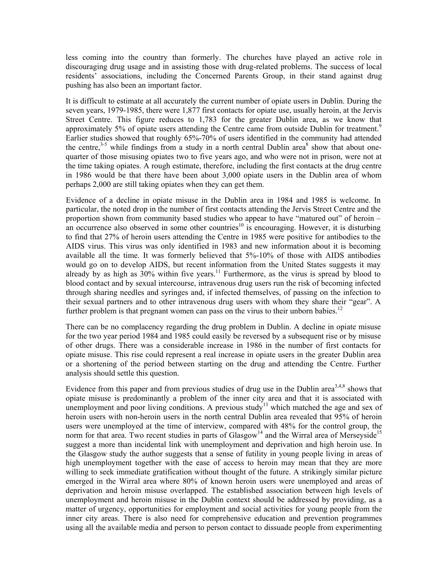less coming into the country than formerly. The churches have played an active role in discouraging drug usage and in assisting those with drug-related problems. The success of local residents' associations, including the Concerned Parents Group, in their stand against drug pushing has also been an important factor.

It is difficult to estimate at all accurately the current number of opiate users in Dublin. During the seven years, 1979-1985, there were 1,877 first contacts for opiate use, usually heroin, at the Jervis Street Centre. This figure reduces to 1,783 for the greater Dublin area, as we know that approximately 5% of opiate users attending the Centre came from outside Dublin for treatment.<sup>9</sup> Earlier studies showed that roughly 65%-70% of users identified in the community had attended the centre,<sup>3-5</sup> while findings from a study in a north central Dublin area<sup>8</sup> show that about onequarter of those misusing opiates two to five years ago, and who were not in prison, were not at the time taking opiates. A rough estimate, therefore, including the first contacts at the drug centre in 1986 would be that there have been about 3,000 opiate users in the Dublin area of whom perhaps 2,000 are still taking opiates when they can get them.

Evidence of a decline in opiate misuse in the Dublin area in 1984 and 1985 is welcome. In particular, the noted drop in the number of first contacts attending the Jervis Street Centre and the proportion shown from community based studies who appear to have "matured out" of heroin – an occurrence also observed in some other countries<sup>10</sup> is encouraging. However, it is disturbing to find that 27% of heroin users attending the Centre in 1985 were positive for antibodies to the AIDS virus. This virus was only identified in 1983 and new information about it is becoming available all the time. It was formerly believed that 5%-10% of those with AIDS antibodies would go on to develop AIDS, but recent information from the United States suggests it may already by as high as  $30\%$  within five years.<sup>11</sup> Furthermore, as the virus is spread by blood to blood contact and by sexual intercourse, intravenous drug users run the risk of becoming infected through sharing needles and syringes and, if infected themselves, of passing on the infection to their sexual partners and to other intravenous drug users with whom they share their "gear". A further problem is that pregnant women can pass on the virus to their unborn babies.<sup>12</sup>

There can be no complacency regarding the drug problem in Dublin. A decline in opiate misuse for the two year period 1984 and 1985 could easily be reversed by a subsequent rise or by misuse of other drugs. There was a considerable increase in 1986 in the number of first contacts for opiate misuse. This rise could represent a real increase in opiate users in the greater Dublin area or a shortening of the period between starting on the drug and attending the Centre. Further analysis should settle this question.

Evidence from this paper and from previous studies of drug use in the Dublin area<sup>3,4,8</sup> shows that opiate misuse is predominantly a problem of the inner city area and that it is associated with unemployment and poor living conditions. A previous study<sup>13</sup> which matched the age and sex of heroin users with non-heroin users in the north central Dublin area revealed that 95% of heroin users were unemployed at the time of interview, compared with 48% for the control group, the norm for that area. Two recent studies in parts of  $Glassrow<sup>14</sup>$  and the Wirral area of Merseyside<sup>15</sup> suggest a more than incidental link with unemployment and deprivation and high heroin use. In the Glasgow study the author suggests that a sense of futility in young people living in areas of high unemployment together with the ease of access to heroin may mean that they are more willing to seek immediate gratification without thought of the future. A strikingly similar picture emerged in the Wirral area where 80% of known heroin users were unemployed and areas of deprivation and heroin misuse overlapped. The established association between high levels of unemployment and heroin misuse in the Dublin context should be addressed by providing, as a matter of urgency, opportunities for employment and social activities for young people from the inner city areas. There is also need for comprehensive education and prevention programmes using all the available media and person to person contact to dissuade people from experimenting